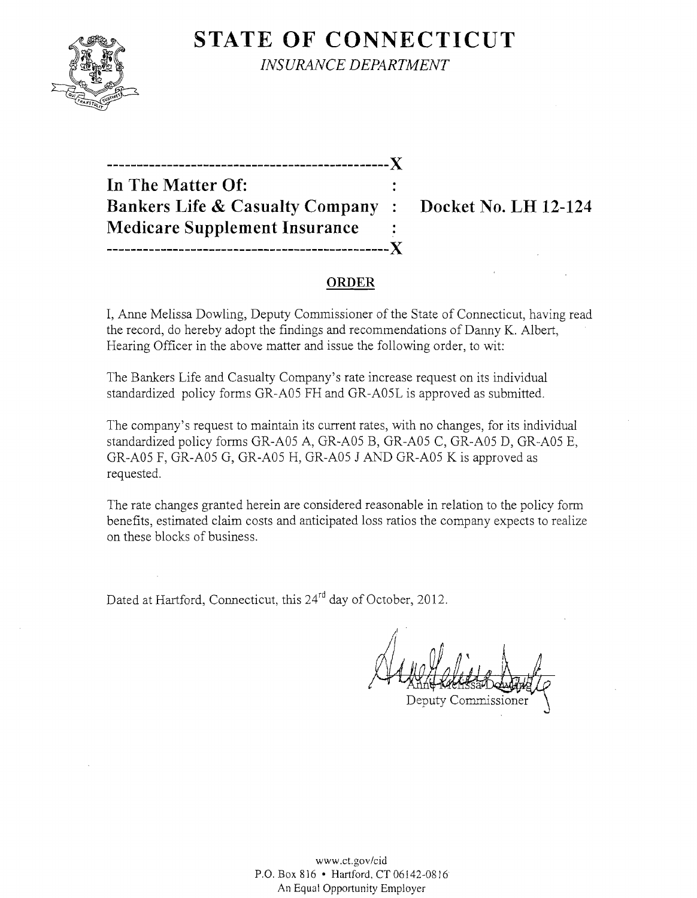

**STATE OF CONNECTICUT** *INSURANCE DEPARTMENT* 

**-----------------------------------------------)( In The Matter Of: Bankers Life & Casualty Company: Docket No. LH 12-124 Medicare Supplement Insurance -----------------------------------------------)(** 

#### **ORDER**

I, Anne Melissa Dowling, Deputy Commissioner of the State of Connecticut, having read the record, do hereby adopt the findings and recommendations of Danny K. Albert, Hearing Officer in the above matter and issue the following order, to wit:

The Bankers Life and Casualty Company's rate increase request on its individual standardized policy forms GR-A05 FH and GR-A05L is approved as submitted.

The company's request to maintain its current rates, with no changes, for its individual standardized policy forms GR-A05 A, GR-A05 B, GR-A05 C, GR-A05 D, GR-A05 E, GR-A05 F, GR-A05 G, GR-A05 H, GR-A05 J AND GR-A05 K is approved as requested.

The rate changes granted herein are considered reasonable in relation to the policy form benefits, estimated claim costs and anticipated loss ratios the company expects to realize on these blocks of business.

Dated at Hartford, Connecticut, this 24<sup>rd</sup> day of October, 2012.

;.1 sa

Deputy Commissione

www.cLgov/cid P.O. Box 816 • Hartford, CT06142-08J6 An Equal Opportunity Employer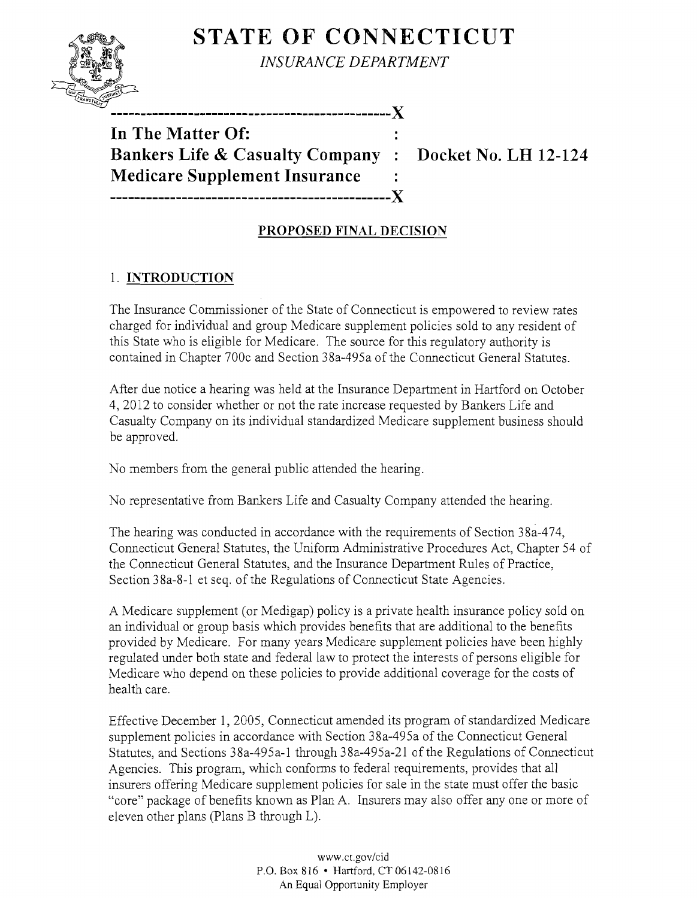# **STATE OF CONNECTICUT**



*INSURANCE DEPARTMENT* 

**-----------------------------------------------)(** 

**In The Matter Of:**  Bankers Life & Casualty Company : Docket No. LH 12-124 **Medicare Supplement Insurance -----------------------------------------------)(** 

# **PROPOSED FINAL DECISION**

# 1. **INTRODUCTION**

The Insurance Commissioner of the State of Connecticut is empowered to review rates charged for individual and group Medicare supplement policies sold to any resident of this State who is eligible for Medicare. The source for this regulatory authority is contained in Chapter 700c and Section 38a-495a of the Connecticut General Statutes.

After due notice a hearing was held at the Insurance Department in Hartford on October 4,2012 to consider whether or not the rate increase requested by Bankers Life and Casualty Company on its individual standardized Medicare supplement business should be approved.

No members from the general public attended the hearing.

No representative from Bankers Life and Casualty Company attended the hearing.

The hearing was conducted in accordance with the requirements of Section 38a-474, Connecticut General Statutes, the Uniform Administrative Procedures Act, Chapter 54 of the Connecticut General Statutes, and the Insurance Department Rules of Practice, Section 38a-8-l et seq. of the Regulations of Connecticut State Agencies.

A Medicare supplement (or Medigap) policy is a private health insurance policy sold on an individual or group basis which provides benefits that are additional to the benefits provided by Medicare. For many years Medicare supplement policies have been highly regulated under both state and federal law to protect the interests of persons eligible for Medicare who depend on these policies to provide additional coverage for the costs of health care.

Effective December 1, 2005, Connecticut amended its program of standardized Medicare supplement policies in accordance with Section 38a-495a of the Connecticut General Statutes, and Sections 38a-495a-l through 38a-495a-2l of the Regulations of Connecticut Agencies. This program, which conforms to federal requirements, provides that all insurers offering Medicare supplement policies for sale in the state must offer the basic "core" package of benefits known as Plan A. Insurers may also offer anyone or more of eleven other plans (Plans B through L).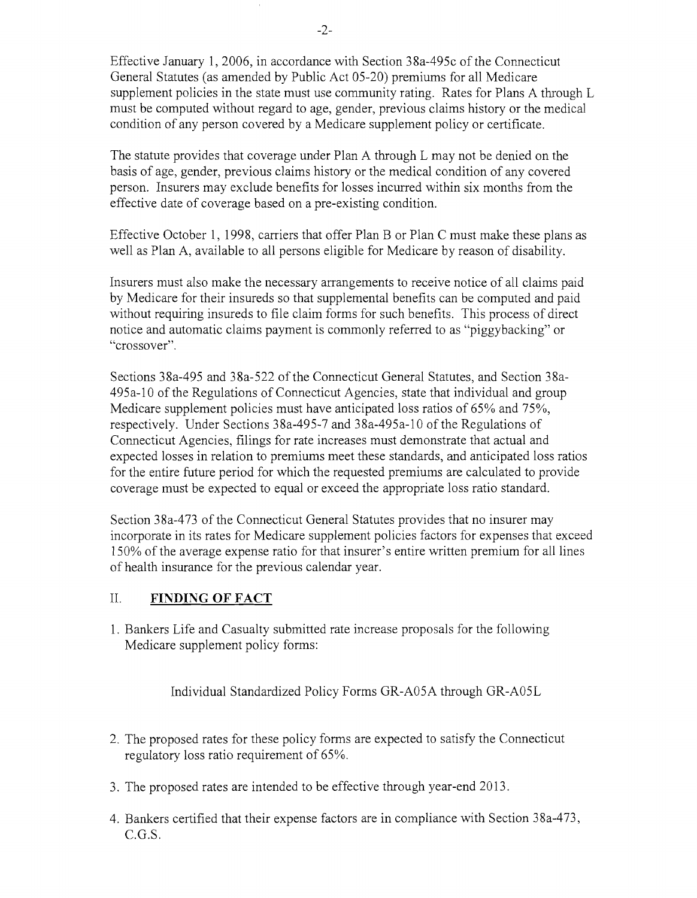Effective January 1,2006, in accordance with Section 38a-495c of the Connecticut General Statutes (as amended by Public Act 05-20) premiums for all Medicare supplement policies in the state must use community rating. Rates for Plans A through L must be computed without regard to age, gender, previous claims history or the medical condition of any person covered by a Medicare supplement policy or certificate.

The statute provides that coverage under Plan A through L may not be denied on the basis of age, gender, previous claims history or the medical condition of any covered person. Insurers may exclude benefits for losses incurred within six months from the effective date of coverage based on a pre-existing condition.

Effective October 1, 1998, carriers that offer Plan B or Plan C must make these plans as well as Plan A, available to all persons eligible for Medicare by reason of disability.

Insurers must also make the necessary arrangements to receive notice of all claims paid by Medicare for their insureds so that supplemental benefits can be computed and paid without requiring insureds to file claim forms for such benefits. This process of direct notice and automatic claims payment is commonly referred to as "piggybacking" or "crossover".

Sections 38a-495 and 38a-522 of the Connecticut General Statutes, and Section 38a-495a-10 of the Regulations of Connecticut Agencies, state that individual and group Medicare supplement policies must have anticipated loss ratios of 65% and 75%, respectively. Under Sections 38a-495-7 and 38a-495a-10 ofthe Regulations of Connecticut Agencies, filings for rate increases must demonstrate that actual and expected losses in relation to premiums meet these standards, and anticipated loss ratios for the entire future period for which the requested premiums are calculated to provide coverage must be expected to equal or exceed the appropriate loss ratio standard.

Section 38a-473 of the Connecticut General Statutes provides that no insurer may incorporate in its rates for Medicare supplement policies factors for expenses that exceed 150% of the average expense ratio for that insurer's entire written premium for all lines of health insurance for the previous calendar year.

### II. **FINDING OF FACT**

1. Bankers Life and Casualty submitted rate increase proposals for the following Medicare supplement policy forms:

Individual Standardized Policy Forms GR-A05A through GR-A05L

- 2. The proposed rates for these policy forms are expected to satisfy the Connecticut regulatory loss ratio requirement of 65%.
- 3. The proposed rates are intended to be effective through year-end 2013.
- 4. Bankers certified that their expense factors are in compliance with Section 38a-473, C.G.S.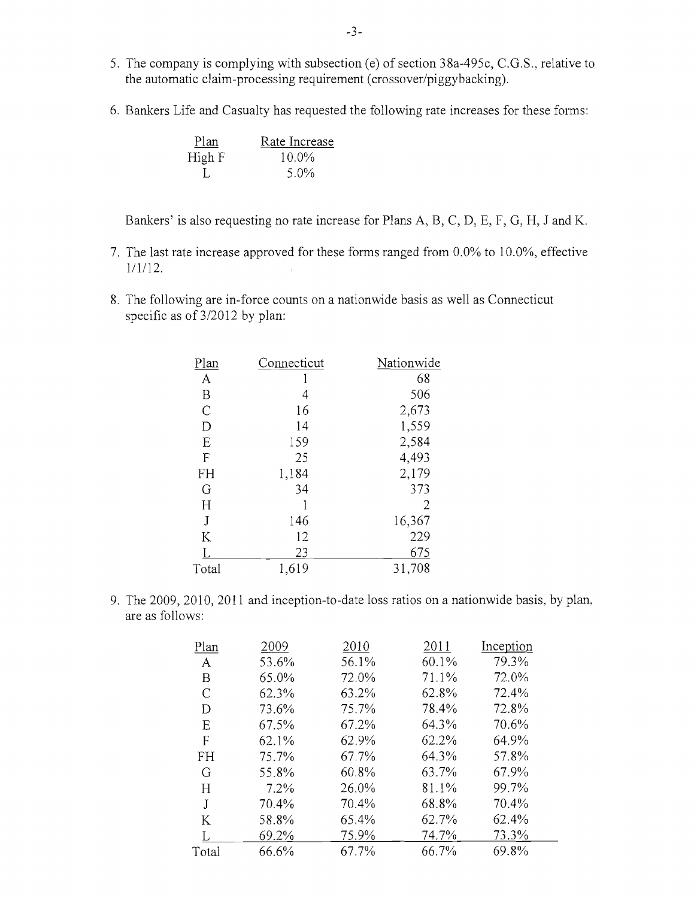- 5. The company is complying with subsection (e) of section 38a-495c, C.G.S., relative to the automatic claim-processing requirement (crossover/piggybacking).
- 6. Bankers Life and Casualty has requested the following rate increases for these forms:

| Plan   | Rate Increase |
|--------|---------------|
| High F | $10.0\%$      |
|        | 5.0%          |

Bankers' is also requesting no rate increase for Plans A, B, C, D, E, F, G, H, J and K.

- 7. The last rate increase approved for these forms ranged from 0.0% to 10.0%, effective 1/1/12.
- 8. The following are in-force counts on a nationwide basis as well as Connecticut specific as of 3/2012 by plan:

| Plan          | Connecticut | Nationwide |
|---------------|-------------|------------|
| $\mathbf{A}$  |             | 68         |
| $\mathbf B$   |             | 506        |
| $\mathcal{C}$ | 16          | 2,673      |
| $\mathbf D$   | 14          | 1,559      |
| E             | 159         | 2,584      |
| F             | 25          | 4,493      |
| FH            | 1,184       | 2,179      |
| G             | 34          | 373        |
| H             |             | 2          |
| J             | 146         | 16,367     |
| K             | 12          | 229        |
|               | 23          | 675        |
| Total         | 1,619       | 31,708     |
|               |             |            |

9. The 2009, 2010, 2011 and inception-to-date loss ratios on a nationwide basis, by plan, are as follows:

| Plan      | 2009    | 2010  | 2011  | Inception |
|-----------|---------|-------|-------|-----------|
| A         | 53.6%   | 56.1% | 60.1% | 79.3%     |
| Β         | 65.0%   | 72.0% | 71.1% | 72.0%     |
| С         | 62.3%   | 63.2% | 62.8% | 72.4%     |
| D         | 73.6%   | 75.7% | 78.4% | 72.8%     |
| E         | 67.5%   | 67.2% | 64.3% | 70.6%     |
| F         | 62.1%   | 62.9% | 62.2% | 64.9%     |
| <b>FH</b> | 75.7%   | 67.7% | 64.3% | 57.8%     |
| G         | 55.8%   | 60.8% | 63.7% | 67.9%     |
| Η         | $7.2\%$ | 26.0% | 81.1% | 99.7%     |
| J         | 70.4%   | 70.4% | 68.8% | 70.4%     |
| К         | 58.8%   | 65.4% | 62.7% | 62.4%     |
|           | 69.2%   | 75.9% | 74.7% | 73.3%     |
| Total     | 66.6%   | 67.7% | 66.7% | 69.8%     |